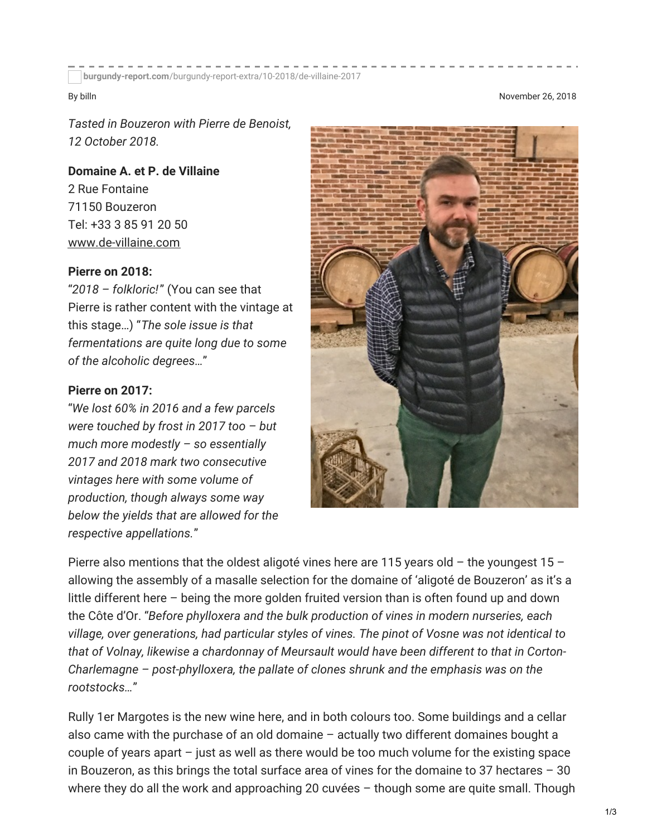**burgundy-report.com**[/burgundy-report-extra/10-2018/de-villaine-2017](https://www.burgundy-report.com/burgundy-report-extra/10-2018/de-villaine-2017/)

By billn November 26, 2018

*Tasted in Bouzeron with Pierre de Benoist, 12 October 2018.*

**Domaine A. et P. de Villaine** 2 Rue Fontaine 71150 Bouzeron Tel: +33 3 85 91 20 50 [www.de-villaine.com](http://www.de-villaine.com/)

#### **Pierre on 2018:**

"*2018 – folkloric!*" (You can see that Pierre is rather content with the vintage at this stage…) "*The sole issue is that fermentations are quite long due to some of the alcoholic degrees…*"

#### **Pierre on 2017:**

"*We lost 60% in 2016 and a few parcels were touched by frost in 2017 too – but much more modestly – so essentially 2017 and 2018 mark two consecutive vintages here with some volume of production, though always some way below the yields that are allowed for the respective appellations.*"



Pierre also mentions that the oldest aligoté vines here are 115 years old – the youngest 15 – allowing the assembly of a masalle selection for the domaine of 'aligoté de Bouzeron' as it's a little different here – being the more golden fruited version than is often found up and down the Côte d'Or. "*Before phylloxera and the bulk production of vines in modern nurseries, each village, over generations, had particular styles of vines. The pinot of Vosne was not identical to that of Volnay, likewise a chardonnay of Meursault would have been different to that in Corton-Charlemagne – post-phylloxera, the pallate of clones shrunk and the emphasis was on the rootstocks…*"

Rully 1er Margotes is the new wine here, and in both colours too. Some buildings and a cellar also came with the purchase of an old domaine – actually two different domaines bought a couple of years apart – just as well as there would be too much volume for the existing space in Bouzeron, as this brings the total surface area of vines for the domaine to 37 hectares – 30 where they do all the work and approaching 20 cuvées – though some are quite small. Though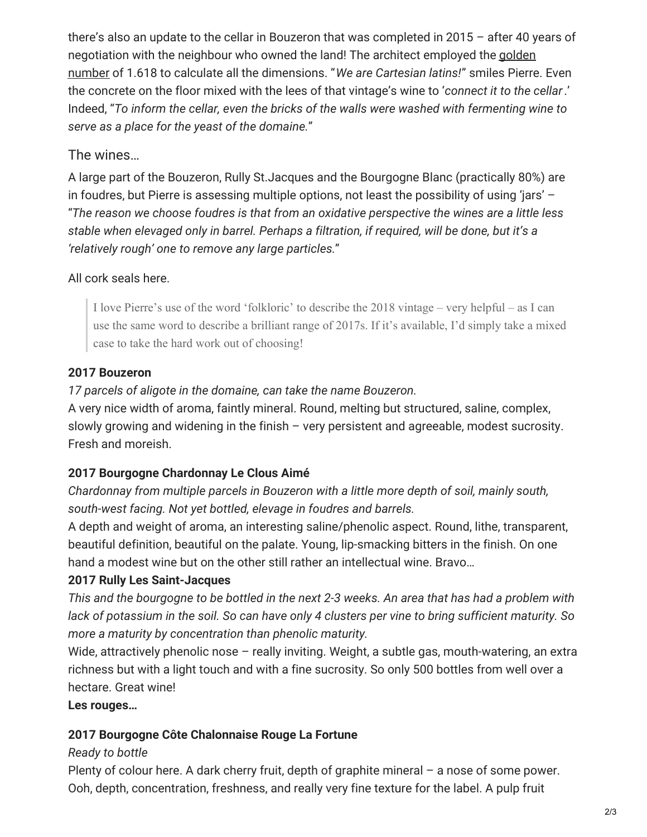there's also an update to the cellar in Bouzeron that was completed in 2015 – after 40 years of negotiation with the neighbour who owned the land! The architect employed the golden number of 1.618 to calculate all the [dimensions.](https://en.wikipedia.org/wiki/Golden_ratio) "*We are Cartesian latins!*" smiles Pierre. Even the concrete on the floor mixed with the lees of that vintage's wine to '*connect it to the cellar*.' Indeed, "*To inform the cellar, even the bricks of the walls were washed with fermenting wine to serve as a place for the yeast of the domaine.*"

# The wines…

A large part of the Bouzeron, Rully St.Jacques and the Bourgogne Blanc (practically 80%) are in foudres, but Pierre is assessing multiple options, not least the possibility of using 'jars' – "*The reason we choose foudres is that from an oxidative perspective the wines are a little less stable when elevaged only in barrel. Perhaps a filtration, if required, will be done, but it's a 'relatively rough' one to remove any large particles.*"

## All cork seals here.

I love Pierre's use of the word 'folkloric' to describe the 2018 vintage – very helpful – as I can use the same word to describe a brilliant range of 2017s. If it's available, I'd simply take a mixed case to take the hard work out of choosing!

## **2017 Bouzeron**

## *17 parcels of aligote in the domaine, can take the name Bouzeron.*

A very nice width of aroma, faintly mineral. Round, melting but structured, saline, complex, slowly growing and widening in the finish – very persistent and agreeable, modest sucrosity. Fresh and moreish.

## **2017 Bourgogne Chardonnay Le Clous Aimé**

*Chardonnay from multiple parcels in Bouzeron with a little more depth of soil, mainly south, south-west facing. Not yet bottled, elevage in foudres and barrels.*

A depth and weight of aroma, an interesting saline/phenolic aspect. Round, lithe, transparent, beautiful definition, beautiful on the palate. Young, lip-smacking bitters in the finish. On one hand a modest wine but on the other still rather an intellectual wine. Bravo…

## **2017 Rully Les Saint-Jacques**

This and the bourgogne to be bottled in the next 2-3 weeks. An area that has had a problem with lack of potassium in the soil. So can have only 4 clusters per vine to bring sufficient maturity. So *more a maturity by concentration than phenolic maturity.*

Wide, attractively phenolic nose – really inviting. Weight, a subtle gas, mouth-watering, an extra richness but with a light touch and with a fine sucrosity. So only 500 bottles from well over a hectare. Great wine!

## **Les rouges…**

## **2017 Bourgogne Côte Chalonnaise Rouge La Fortune**

## *Ready to bottle*

Plenty of colour here. A dark cherry fruit, depth of graphite mineral – a nose of some power. Ooh, depth, concentration, freshness, and really very fine texture for the label. A pulp fruit